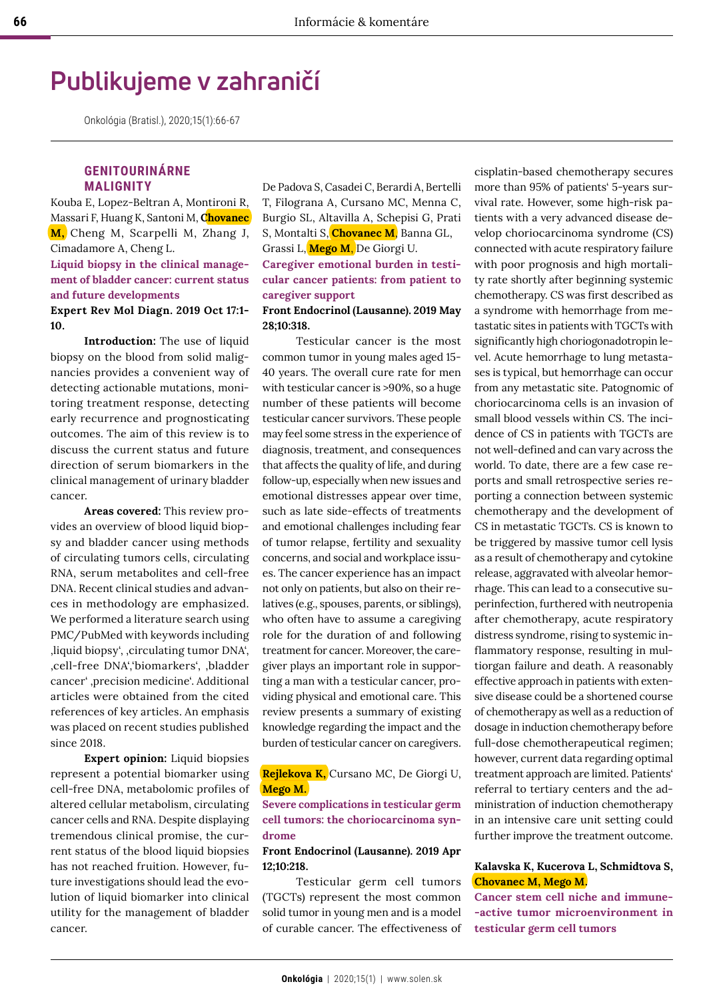# **Publikujeme v zahraničí**

Onkológia (Bratisl.), 2020;15(1):66-67

## **GENITOURINÁRNE MALIGNITY**

Kouba E, Lopez-Beltran A, Montironi R, Massari F, Huang K, Santoni M, **Chovanec M,** Cheng M, Scarpelli M, Zhang J, Cimadamore A, Cheng L. **Liquid biopsy in the clinical management of bladder cancer: current status and future developments**

## **Expert Rev Mol Diagn. 2019 Oct 17:1- 10.**

**Introduction:** The use of liquid biopsy on the blood from solid malignancies provides a convenient way of detecting actionable mutations, monitoring treatment response, detecting early recurrence and prognosticating outcomes. The aim of this review is to discuss the current status and future direction of serum biomarkers in the clinical management of urinary bladder cancer.

**Areas covered:** This review provides an overview of blood liquid biopsy and bladder cancer using methods of circulating tumors cells, circulating RNA, serum metabolites and cell-free DNA. Recent clinical studies and advances in methodology are emphasized. We performed a literature search using PMC/PubMed with keywords including , liquid biopsy', circulating tumor DNA', 'cell-free DNA','biomarkers', 'bladder cancer' 'precision medicine'. Additional articles were obtained from the cited references of key articles. An emphasis was placed on recent studies published since 2018.

**Expert opinion:** Liquid biopsies represent a potential biomarker using cell-free DNA, metabolomic profiles of altered cellular metabolism, circulating cancer cells and RNA. Despite displaying tremendous clinical promise, the current status of the blood liquid biopsies has not reached fruition. However, future investigations should lead the evolution of liquid biomarker into clinical utility for the management of bladder cancer.

De Padova S, Casadei C, Berardi A, Bertelli T, Filograna A, Cursano MC, Menna C, Burgio SL, Altavilla A, Schepisi G, Prati S, Montalti S, **Chovanec M**, Banna GL, Grassi L, **Mego M**, De Giorgi U. **Caregiver emotional burden in testicular cancer patients: from patient to caregiver support Front Endocrinol (Lausanne). 2019 May** 

## **28;10:318.**

Testicular cancer is the most common tumor in young males aged 15- 40 years. The overall cure rate for men with testicular cancer is >90%, so a huge number of these patients will become testicular cancer survivors. These people may feel some stress in the experience of diagnosis, treatment, and consequences that affects the quality of life, and during follow-up, especially when new issues and emotional distresses appear over time, such as late side-effects of treatments and emotional challenges including fear of tumor relapse, fertility and sexuality concerns, and social and workplace issues. The cancer experience has an impact not only on patients, but also on their relatives (e.g., spouses, parents, or siblings), who often have to assume a caregiving role for the duration of and following treatment for cancer. Moreover, the caregiver plays an important role in supporting a man with a testicular cancer, providing physical and emotional care. This review presents a summary of existing knowledge regarding the impact and the burden of testicular cancer on caregivers.

#### **Rejlekova K,** Cursano MC, De Giorgi U, **Mego M.**

#### **Severe complications in testicular germ cell tumors: the choriocarcinoma syndrome**

#### **Front Endocrinol (Lausanne). 2019 Apr 12;10:218.**

Testicular germ cell tumors (TGCTs) represent the most common solid tumor in young men and is a model of curable cancer. The effectiveness of cisplatin-based chemotherapy secures more than 95% of patients' 5-years survival rate. However, some high-risk patients with a very advanced disease develop choriocarcinoma syndrome (CS) connected with acute respiratory failure with poor prognosis and high mortality rate shortly after beginning systemic chemotherapy. CS was first described as a syndrome with hemorrhage from metastatic sites in patients with TGCTs with significantly high choriogonadotropin level. Acute hemorrhage to lung metastases is typical, but hemorrhage can occur from any metastatic site. Patognomic of choriocarcinoma cells is an invasion of small blood vessels within CS. The incidence of CS in patients with TGCTs are not well-defined and can vary across the world. To date, there are a few case reports and small retrospective series reporting a connection between systemic chemotherapy and the development of CS in metastatic TGCTs. CS is known to be triggered by massive tumor cell lysis as a result of chemotherapy and cytokine release, aggravated with alveolar hemorrhage. This can lead to a consecutive superinfection, furthered with neutropenia after chemotherapy, acute respiratory distress syndrome, rising to systemic inflammatory response, resulting in multiorgan failure and death. A reasonably effective approach in patients with extensive disease could be a shortened course of chemotherapy as well as a reduction of dosage in induction chemotherapy before full-dose chemotherapeutical regimen; however, current data regarding optimal treatment approach are limited. Patients' referral to tertiary centers and the administration of induction chemotherapy in an intensive care unit setting could further improve the treatment outcome.

#### **Kalavska K, Kucerova L, Schmidtova S, Chovanec M, Mego M.**

**Cancer stem cell niche and immune- -active tumor microenvironment in testicular germ cell tumors**